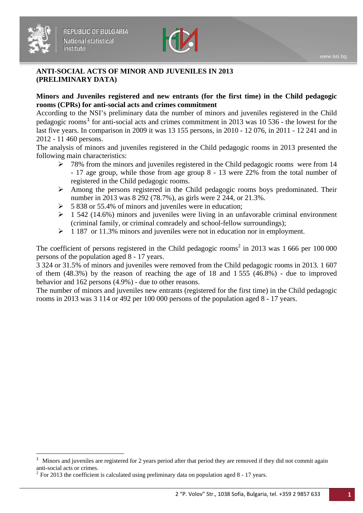

#### **ANTI-SOCIAL ACTS OF MINOR AND JUVENILES IN 2013 (PRELIMINARY DATA)**

### **Minors and Juveniles registered and new entrants (for the first time) in the Child pedagogic rooms (CPRs) for anti-social acts and crimes commitment**

According to the NSI's preliminary data the number of minors and juveniles registered in the Child pedagogic rooms<sup>[1](#page-0-0)</sup> for anti-social acts and crimes commitment in 2013 was 10 536 - the lowest for the last five years. In comparison in 2009 it was 13 155 persons, in 2010 - 12 076, in 2011 - 12 241 and in 2012 - 11 460 persons.

The analysis of minors and juveniles registered in the Child pedagogic rooms in 2013 presented the following main characteristics:

- $\geq$  78% from the minors and juveniles registered in the Child pedagogic rooms were from 14 - 17 age group, while those from age group 8 - 13 were 22% from the total number of registered in the Child pedagogic rooms.
- $\triangleright$  Among the persons registered in the Child pedagogic rooms boys predominated. Their number in 2013 was 8 292 (78.7%), as girls were 2 244, or 21.3%.
- $>$  5 838 or 55.4% of minors and juveniles were in education;
- $\geq 1$  542 (14.6%) minors and juveniles were living in an unfavorable criminal environment (criminal family, or criminal comradely and school-fellow surroundings);
- $\geq 1187$  or 11.3% minors and juveniles were not in education nor in employment.

The coefficient of persons registered in the Child pedagogic rooms<sup>2</sup> in 2013 was  $1\,666$  per 100 000 persons of the population aged 8 - 17 years.

3 324 or 31.5% of minors and juveniles were removed from the Child pedagogic rooms in 2013. 1 607 of them (48.3%) by the reason of reaching the age of 18 and 1 555 (46.8%) - due to improved behavior and 162 persons (4.9%) - due to other reasons.

The number of minors and juveniles new entrants (registered for the first time) in the Child pedagogic rooms in 2013 was 3 114 or 492 per 100 000 persons of the population aged 8 - 17 years.

 $\overline{a}$ 

<span id="page-0-0"></span> $1$  Minors and juveniles are registered for 2 years period after that period they are removed if they did not commit again anti-social acts or crimes.<br><sup>2</sup> For 2013 the coefficient is calculated using preliminary data on population aged 8 - 17 years.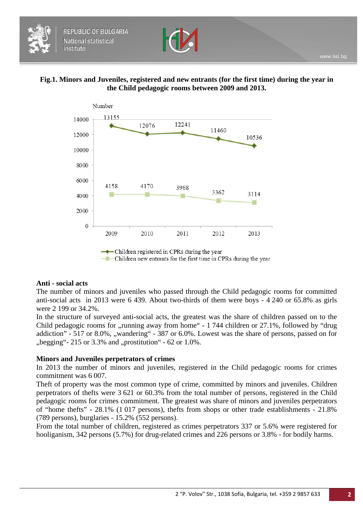

### **Fig.1. Minors and Juveniles, registered and new entrants (for the first time) during the year in the Child pedagogic rooms between 2009 and 2013.**





### **Anti - social acts**

The number of minors and juveniles who passed through the Child pedagogic rooms for committed anti-social acts in 2013 were 6 439. About two-thirds of them were boys - 4 240 or 65.8% as girls were 2 199 or 34.2%.

In the structure of surveyed anti-social acts, the greatest was the share of children passed on to the Child pedagogic rooms for  $\mu$  running away from home" - 1 744 children or 27.1%, followed by "drug" addiction" - 517 or 8.0%, "wandering" - 387 or 6.0%. Lowest was the share of persons, passed on for  $m_{\rm p}$  begging"- 215 or 3.3% and  $m_{\rm p}$  prostitution" - 62 or 1.0%.

### **Minors and Juveniles perpetrators of crimes**

In 2013 the number of minors and juveniles, registered in the Child pedagogic rooms for crimes commitment was 6 007.

Theft of property was the most common type of crime, committed by minors and juveniles. Children perpetrators of thefts were 3 621 or 60.3% from the total number of persons, registered in the Child pedagogic rooms for crimes commitment. The greatest was share of minors and juveniles perpetrators of "home thefts" - 28.1% (1 017 persons), thefts from shops or other trade establishments - 21.8% (789 persons), burglaries - 15.2% (552 persons).

From the total number of children, registered as crimes perpetrators 337 or 5.6% were registered for hooliganism, 342 persons (5.7%) for drug-related crimes and 226 persons or 3.8% - for bodily harms.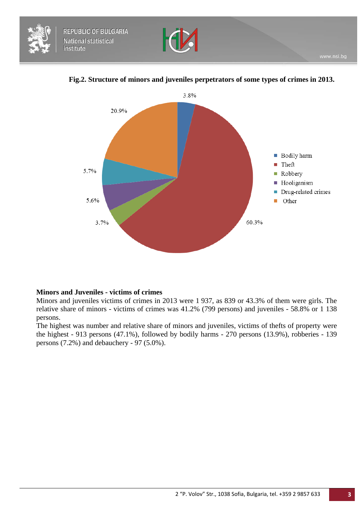





### **Fig.2. Structure of minors and juveniles perpetrators of some types of crimes in 2013.**

#### **Minors and Juveniles - victims of crimes**

Minors and juveniles victims of crimes in 2013 were 1 937, as 839 or 43.3% of them were girls. The relative share of minors - victims of crimes was 41.2% (799 persons) and juveniles - 58.8% or 1 138 persons.

The highest was number and relative share of minors and juveniles, victims of thefts of property were the highest - 913 persons (47.1%), followed by bodily harms - 270 persons (13.9%), robberies - 139 persons (7.2%) and debauchery - 97 (5.0%).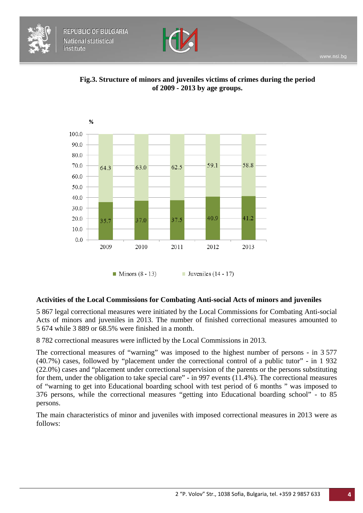







 $\blacksquare$  Minors (8 - 13)  $\blacksquare$  Juveniles (14 - 17)

#### **Activities of the Local Commissions for Combating Anti-social Acts of minors and juveniles**

5 867 legal correctional measures were initiated by the Local Commissions for Combating Anti-social Acts of minors and juveniles in 2013. The number of finished correctional measures amounted to 5 674 while 3 889 or 68.5% were finished in a month.

8 782 correctional measures were inflicted by the Local Commissions in 2013.

The correctional measures of "warning" was imposed to the highest number of persons - in 3 577 (40.7%) cases, followed by "placement under the correctional control of a public tutor" - in 1 932 (22.0%) cases and "placement under correctional supervision of the parents or the persons substituting for them, under the obligation to take special care" - in 997 events (11.4%). The correctional measures of "warning to get into Educational boarding school with test period of 6 months " was imposed to 376 persons, while the correctional measures "getting into Educational boarding school" - to 85 persons.

The main characteristics of minor and juveniles with imposed correctional measures in 2013 were as follows: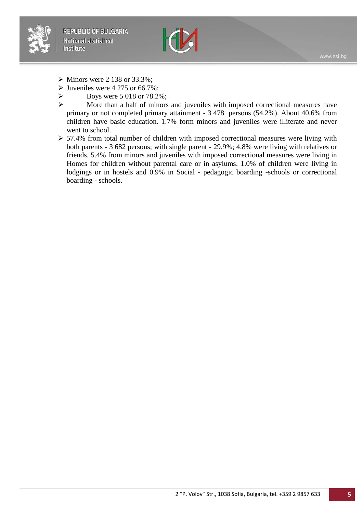



- $\triangleright$  Minors were 2 138 or 33.3%;
- $\triangleright$  Juveniles were 4 275 or 66.7%;
- $\triangleright$  Boys were 5 018 or 78.2%;
- More than a half of minors and juveniles with imposed correctional measures have primary or not completed primary attainment - 3 478 persons (54.2%). About 40.6% from children have basic education. 1.7% form minors and juveniles were illiterate and never went to school.
- > 57.4% from total number of children with imposed correctional measures were living with both parents - 3 682 persons; with single parent - 29.9%; 4.8% were living with relatives or friends. 5.4% from minors and juveniles with imposed correctional measures were living in Homes for children without parental care or in asylums. 1.0% of children were living in lodgings or in hostels and 0.9% in Social - pedagogic boarding -schools or correctional boarding - schools.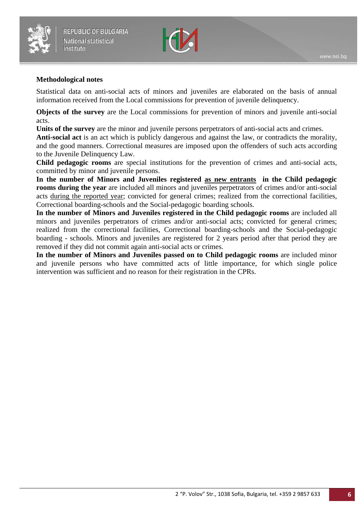



#### **Methodological notes**

Statistical data on anti-social acts of minors and juveniles are elaborated on the basis of annual information received from the Local commissions for prevention of juvenile delinquency.

**Objects of the survey** are the Local commissions for prevention of minors and juvenile anti-social acts.

**Units of the survey** are the minor and juvenile persons perpetrators of anti-social acts and crimes.

**Anti-social act** is an act which is publicly dangerous and against the law, or contradicts the morality, and the good manners. Correctional measures are imposed upon the offenders of such acts according to the Juvenile Delinquency Law.

**Child pedagogic rooms** are special institutions for the prevention of crimes and anti-social acts, committed by minor and juvenile persons.

**In the number of Minors and Juveniles registered as new entrants in the Child pedagogic rooms during the year** are included all minors and juveniles perpetrators of crimes and/or anti-social acts during the reported year; convicted for general crimes; realized from the correctional facilities, Correctional boarding-schools and the Social-pedagogic boarding schools.

**In the number of Minors and Juveniles registered in the Child pedagogic rooms** are included all minors and juveniles perpetrators of crimes and/or anti-social acts; convicted for general crimes; realized from the correctional facilities, Correctional boarding-schools and the Social-pedagogic boarding - schools. Minors and juveniles are registered for 2 years period after that period they are removed if they did not commit again anti-social acts or crimes.

**In the number of Minors and Juveniles passed on to Child pedagogic rooms** are included minor and juvenile persons who have committed acts of little importance, for which single police intervention was sufficient and no reason for their registration in the CPRs.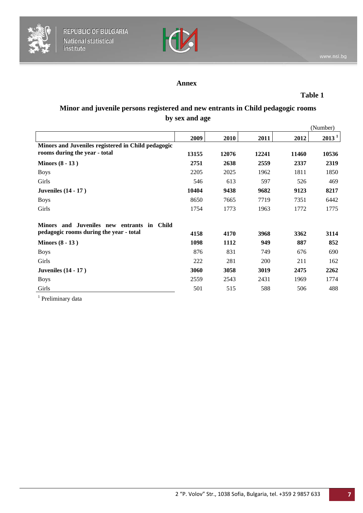



### **Annex**

**Table 1**

# **Minor and juvenile persons registered and new entrants in Child pedagogic rooms by sex and age**

|                                                    |       |       |       |       | (Number) |
|----------------------------------------------------|-------|-------|-------|-------|----------|
|                                                    | 2009  | 2010  | 2011  | 2012  | $2013^1$ |
| Minors and Juveniles registered in Child pedagogic |       |       |       |       |          |
| rooms during the year - total                      | 13155 | 12076 | 12241 | 11460 | 10536    |
| Minors $(8 - 13)$                                  | 2751  | 2638  | 2559  | 2337  | 2319     |
| <b>Boys</b>                                        | 2205  | 2025  | 1962  | 1811  | 1850     |
| Girls                                              | 546   | 613   | 597   | 526   | 469      |
| <b>Juveniles</b> (14 - 17)                         | 10404 | 9438  | 9682  | 9123  | 8217     |
| <b>Boys</b>                                        | 8650  | 7665  | 7719  | 7351  | 6442     |
| Girls                                              | 1754  | 1773  | 1963  | 1772  | 1775     |
| Minors and Juveniles new entrants in Child         |       |       |       |       |          |
| pedagogic rooms during the year - total            | 4158  | 4170  | 3968  | 3362  | 3114     |
| Minors $(8 - 13)$                                  | 1098  | 1112  | 949   | 887   | 852      |
| <b>Boys</b>                                        | 876   | 831   | 749   | 676   | 690      |
| Girls                                              | 222   | 281   | 200   | 211   | 162      |
| <b>Juveniles</b> (14 - 17)                         | 3060  | 3058  | 3019  | 2475  | 2262     |
| <b>Boys</b>                                        | 2559  | 2543  | 2431  | 1969  | 1774     |
| Girls                                              | 501   | 515   | 588   | 506   | 488      |
|                                                    |       |       |       |       |          |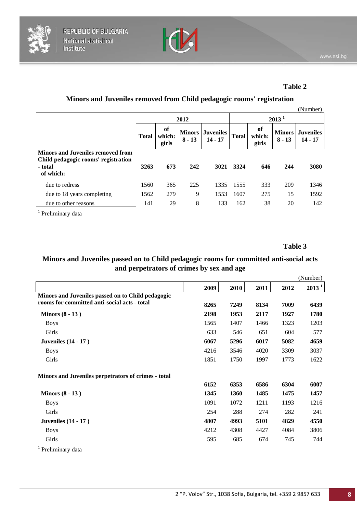



### **Table 2**

# **Minors and Juveniles removed from Child pedagogic rooms' registration**

|                                          |              |                       |                           |                               |                   |                       |                           | (Number)                      |
|------------------------------------------|--------------|-----------------------|---------------------------|-------------------------------|-------------------|-----------------------|---------------------------|-------------------------------|
|                                          | 2012         |                       |                           |                               | 2013 <sup>1</sup> |                       |                           |                               |
|                                          | <b>Total</b> | of<br>which:<br>girls | <b>Minors</b><br>$8 - 13$ | <b>Juveniles</b><br>$14 - 17$ | <b>Total</b>      | of<br>which:<br>girls | <b>Minors</b><br>$8 - 13$ | <b>Juveniles</b><br>$14 - 17$ |
| <b>Minors and Juveniles removed from</b> |              |                       |                           |                               |                   |                       |                           |                               |
| Child pedagogic rooms' registration      |              |                       |                           |                               |                   |                       |                           |                               |
| - total<br>of which:                     | 3263         | 673                   | 242                       | 3021                          | 3324              | 646                   | 244                       | 3080                          |
| due to redress                           | 1560         | 365                   | 225                       | 1335                          | 1555              | 333                   | 209                       | 1346                          |
| due to 18 years completing               | 1562         | 279                   | 9                         | 1553                          | 1607              | 275                   | 15                        | 1592                          |
| due to other reasons                     | 141          | 29                    | 8                         | 133                           | 162               | 38                    | 20                        | 142                           |
|                                          |              |                       |                           |                               |                   |                       |                           |                               |

<sup>1</sup> Preliminary data

**Table 3**

# **Minors and Juveniles passed on to Child pedagogic rooms for committed anti-social acts and perpetrators of crimes by sex and age**

|                                                     |      |      |      |      | (Number)          |
|-----------------------------------------------------|------|------|------|------|-------------------|
|                                                     | 2009 | 2010 | 2011 | 2012 | 2013 <sup>1</sup> |
| Minors and Juveniles passed on to Child pedagogic   |      |      |      |      |                   |
| rooms for committed anti-social acts - total        | 8265 | 7249 | 8134 | 7009 | 6439              |
| Minors $(8 - 13)$                                   | 2198 | 1953 | 2117 | 1927 | 1780              |
| <b>Boys</b>                                         | 1565 | 1407 | 1466 | 1323 | 1203              |
| Girls                                               | 633  | 546  | 651  | 604  | 577               |
| <b>Juveniles</b> (14 - 17)                          | 6067 | 5296 | 6017 | 5082 | 4659              |
| <b>Boys</b>                                         | 4216 | 3546 | 4020 | 3309 | 3037              |
| Girls                                               | 1851 | 1750 | 1997 | 1773 | 1622              |
| Minors and Juveniles perpetrators of crimes - total |      |      |      |      |                   |
|                                                     | 6152 | 6353 | 6586 | 6304 | 6007              |
| Minors $(8 - 13)$                                   | 1345 | 1360 | 1485 | 1475 | 1457              |
| <b>Boys</b>                                         | 1091 | 1072 | 1211 | 1193 | 1216              |
| Girls                                               | 254  | 288  | 274  | 282  | 241               |
| <b>Juveniles</b> (14 - 17)                          | 4807 | 4993 | 5101 | 4829 | 4550              |
| <b>Boys</b>                                         | 4212 | 4308 | 4427 | 4084 | 3806              |
| Girls                                               | 595  | 685  | 674  | 745  | 744               |
|                                                     |      |      |      |      |                   |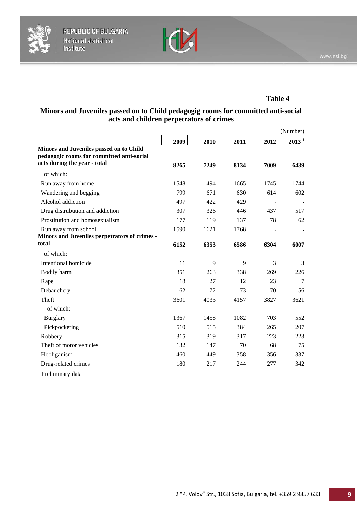



### **Table 4**

# **Minors and Juveniles passed on to Child pedagogig rooms for committed anti-social acts and children perpetrators of crimes**

|                                                                                                                      |      |      |      |      | (Number)          |
|----------------------------------------------------------------------------------------------------------------------|------|------|------|------|-------------------|
|                                                                                                                      | 2009 | 2010 | 2011 | 2012 | 2013 <sup>1</sup> |
| Minors and Juveniles passed on to Child<br>pedagogic rooms for committed anti-social<br>acts during the year - total | 8265 | 7249 | 8134 | 7009 | 6439              |
| of which:                                                                                                            |      |      |      |      |                   |
| Run away from home                                                                                                   | 1548 | 1494 | 1665 | 1745 | 1744              |
| Wandering and begging                                                                                                | 799  | 671  | 630  | 614  | 602               |
| Alcohol addiction                                                                                                    | 497  | 422  | 429  |      |                   |
| Drug distrubution and addiction                                                                                      | 307  | 326  | 446  | 437  | 517               |
| Prostitution and homosexualism                                                                                       | 177  | 119  | 137  | 78   | 62                |
| Run away from school<br>Minors and Juveniles perpetrators of crimes -                                                | 1590 | 1621 | 1768 |      |                   |
| total                                                                                                                | 6152 | 6353 | 6586 | 6304 | 6007              |
| of which:                                                                                                            |      |      |      |      |                   |
| Intentional homicide                                                                                                 | 11   | 9    | 9    | 3    | 3                 |
| Bodily harm                                                                                                          | 351  | 263  | 338  | 269  | 226               |
| Rape                                                                                                                 | 18   | 27   | 12   | 23   | $\tau$            |
| Debauchery                                                                                                           | 62   | 72   | 73   | 70   | 56                |
| Theft                                                                                                                | 3601 | 4033 | 4157 | 3827 | 3621              |
| of which:                                                                                                            |      |      |      |      |                   |
| <b>Burglary</b>                                                                                                      | 1367 | 1458 | 1082 | 703  | 552               |
| Pickpocketing                                                                                                        | 510  | 515  | 384  | 265  | 207               |
| Robbery                                                                                                              | 315  | 319  | 317  | 223  | 223               |
| Theft of motor vehicles                                                                                              | 132  | 147  | 70   | 68   | 75                |
| Hooliganism                                                                                                          | 460  | 449  | 358  | 356  | 337               |
| Drug-related crimes                                                                                                  | 180  | 217  | 244  | 277  | 342               |
|                                                                                                                      |      |      |      |      |                   |